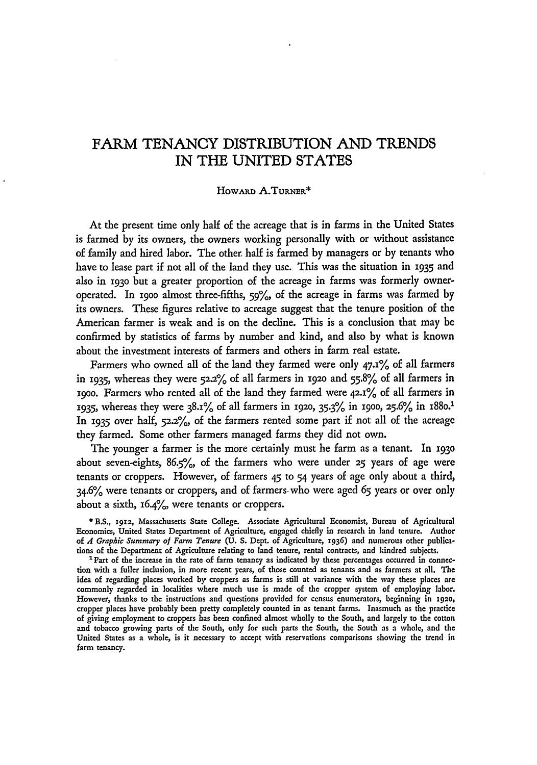# FARM **TENANCY** DISTRIBUTION **AND** TRENDS IN **THE** UNITED **STATES**

#### HOWARD A.TURNER\*

At the present time only half of the acreage that is in farms in the United States is farmed by its owners, the owners working personally with or without assistance of family and hired labor. The other. half is farmed by managers or by tenants who have to lease part if not all of the land they use. This was the situation in 1935 and also in 1930 but a greater proportion of the acreage in farms was formerly owneroperated. In 1900 almost three-fifths, 59%, of the acreage in farms was farmed by its owners. These figures relative to acreage suggest that the tenure position of the American farmer is weak and is on the decline. This is a conclusion that may be confirmed by statistics of farms by number and kind, and also by what is known about the investment interests of farmers and others in farm real estate.

Farmers who owned all of the land they farmed were only **47.1%** of all farmers in 1935, whereas they were **52.2/** of all farmers in 192o and 55.8%. of all farmers in i9oo. Farmers who rented all of the land they farmed were **42.1%** of all farmers in 1935, whereas they were **38.1%** of all farmers in **I92O,** 35.3% in i9oo, 25.6% in i88o.1 In 1935 over half, 52.2%, of the farmers rented some part if not all of the acreage they farmed. Some other farmers managed farms they did not own.

The younger a farmer is the more certainly must he farm as a tenant. In 1930 about seven-eights, **86.5%,** of the farmers who were under **25** years of age were tenants or croppers. However, of farmers 45 to 54 years of age only about a third, 34.6% were tenants or croppers, and of farmers, who were aged 65 years or over only about a sixth,  $16.4\%$ , were tenants or croppers.

'Part of the increase in the rate of farm tenancy as indicated **by** these percentages occurred in connection with a fuller inclusion, in more recent years, of those counted as tenants and as farmers at all. The idea of regarding places worked **by** croppers as farms is still at variance with the way these places are commonly regarded in localities where much use is made of the cropper system of employing labor. However, thanks to the instructions and questions provided for census enumerators, beginning in **i92O,** cropper places have probably been pretty completely counted in as tenant farms. Inasmuch as the practice of giving employment to croppers has been confined almost wholly to the South, and largely to the cotton and tobacco growing parts of the South, only for such parts the South, the South as a whole, and the United States as a whole, is **it** necessary to accept with reservations comparisons showing the trend in farm tenancy.

**<sup>\*</sup>** B.S., **1912,** Massachusetts State College. Associate Agricultural Economist, Bureau of Agricultural Economics, United States Department of Agriculture, engaged chiefly in research in land tenure. Author of *.4 Graphic Summary of Farm Tenure* **(U. S.** Dept. of Agriculture, **1936)** and numerous other publications of the Department of Agriculture relating to land tenure, rental contracts, and kindred subjects.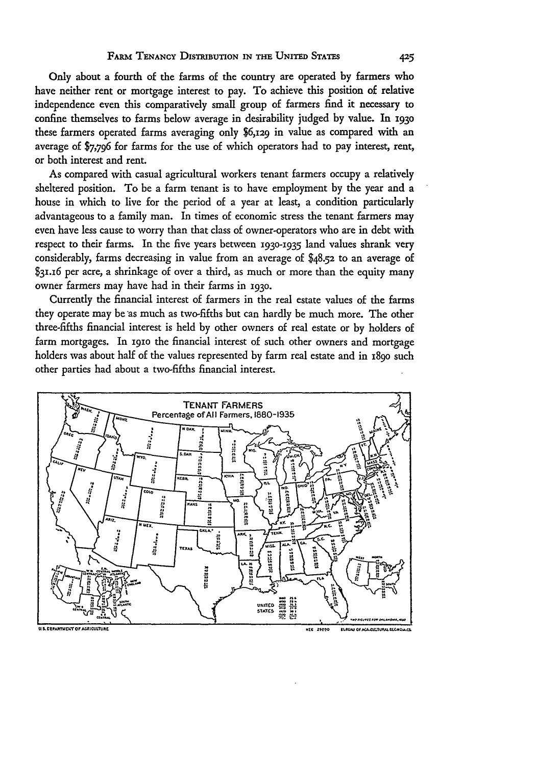Only about a fourth of the farms of the country are operated **by** farmers who have neither rent or mortgage interest to pay. To achieve this position of relative independence even this comparatively small group of farmers find it necessary to confine themselves to farms below average in desirability judged **by** value. In i93o these farmers operated farms averaging only \$6,129 in value as compared with an average of \$7,796 for farms for the use of which operators had to pay interest, rent, or both interest and rent.

As compared with casual agricultural workers tenant farmers occupy a relatively sheltered position. To be a farm tenant is to have employment **by** the year and a house in which to live for the period of a year at least, a condition particularly advantageous to a family man. In times of economic stress the tenant farmers may even have less cause to worry than that class of owner-operators who are in debt with respect to their farms. In the five years between **i93o-i935** land values shrank very considerably, farms decreasing in value from an average of \$48.52 to an average of \$31.16 per acre, a shrinkage of over a third, as much or more than the equity many owner farmers may have had in their farms in **i93o.**

Currently the financial interest of farmers in the real estate values of the farms they operate may be as much as two-fifths but can hardly be much more. The other three-fifths financial interest is held **by** other owners of real estate or **by** holders of farm mortgages. In 1910 the financial interest of such other owners and mortgage holders was about half of the values represented **by** farm real estate and in 189o such other parties had about a two-fifths financial interest.

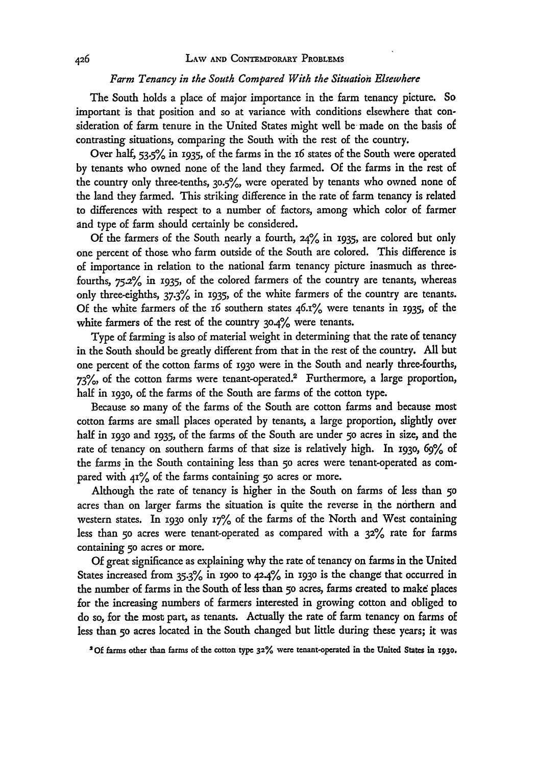# *Farm Tenancy in the South Compared With the Situation Elsewhere*

The South holds a place of major importance in the farm tenancy picture. So important is that position and so at variance with conditions elsewhere that consideration of farm tenure in the United States might well be made on the basis of contrasting situations, comparing the South with the rest of the country.

Over half, 53.5% in 1935, of the farms in the i6 states of the South were operated by tenants who owned none of the land they farmed. Of the farms in the rest of the country only three-tenths, **30.5%,** were operated by tenants who owned none of the land they farmed. This striking difference in the rate of farm tenancy is related to differences with respect to a number of factors, among which color of farmer and type of farm should certainly be considered.

Of the farmers of the South nearly a fourth, 24% in 1935, are colored but only one percent of those who farm outside of the South are colored. This difference is of importance in relation to the national farm tenancy picture inasmuch as threefourths, 75.2% in 1935, of the colored farmers of the country are tenants, whereas only three-eighths, 37.3% in 1935, of the white farmers of the country are tenants. Of the white farmers of the 16 southern states 46.1% were tenants in **x935,** of the white farmers of the rest of the country 30.4% were tenants.

Type of farming is also of material weight in determining that the rate of tenancy in the South should be greatly different from that in the rest of the country. All but one percent of the cotton farms of I93O were in the South and nearly three-fourths, **73%,** of the cotton farms were tenant-operated. 2 Furthermore, a large proportion, half in *i93o,* of the farms of the South are farms of the cotton type.

Because so many of the farms of the South are cotton farms and because most cotton farms are small places operated by tenants, a large proportion, slightly over half in i93o and 1935, of the farms of the South are under 5o acres in size, and the rate of tenancy on southern farms of that size is relatively high. In **193o,** 69%o of the farms in the South containing less than 5o acres were tenant-operated as compared with **41%** of the farms containing **50** acres or more.

Although the rate of tenancy is higher in the South on farms of less than **50** acres than on larger farms the situation is quite the reverse in the northern and western states. In i93o only **i7%** of the farms of the North and West containing less than **50** acres were tenant-operated as compared with a **32%** rate for farms containing **50** acres or more.

Of great significance as explaining why the rate of tenancy on farms in the United States increased from 35.3% in **9oo** to **42.4/o** in i93o is the change that occurred in the number of farms in the South of less than **5o** acres, farms created to makd places for the increasing numbers of farmers interested in growing cotton and obliged to do so, for the most part, as tenants. Actually the rate of farm tenancy on farms of less than **50** acres located in the South changed but little during these years; it was

**I Of** farms **other than farms** of **the cotton type 32% were** tenant-operated **in the United** States **in 193o.**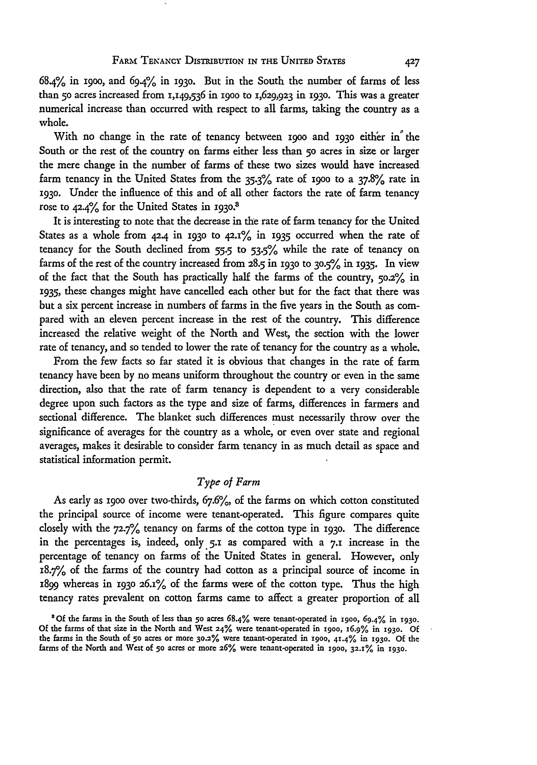684% **in** 19oo, and 694% in i93o. But in the South the number of farms of less than 5o acres increased from i,i49,536 in i9oo to 1,629,923 in **i93o.** This was a greater numerical increase than occurred with respect to all farms, taking the country as a whole.

With no change in the rate of tenancy between 1900 and 1930 either in the South or the rest of the country on farms either less than **50** acres in size or larger the mere change in the number of farms of these two sizes would have increased farm tenancy in the United States from the 35.3% rate of i9oo to a **37.8%** rate in **193o.** Under the influence of this and of all other factors the rate of farm tenancy rose to 42.4% for the United States in I93o.

It is interesting to note that the decrease in the rate of farm tenancy for the United States as a whole from  $42.4$  in 1930 to  $42.1\%$  in 1935 occurred when the rate of tenancy for the South declined from 55.5 to 53-5% while the rate of tenancy on farms of the rest of the country increased from  $28.5$  in 1930 to 30.5% in 1935. In view of the fact that the South has practically half the farms of the country, **5o.29/** in 1935, these changes might have cancelled each other but for the fact that there was but a six percent increase in numbers of farms in the five years in the South as compared with an eleven percent increase in the rest of the country. This difference increased the relative weight of the North and West, the section with the lower rate of tenancy, and so tended to lower the rate of tenancy for the country as a whole.

From the few facts so far stated it is obvious that changes in the rate of farm tenancy have been by no means uniform throughout the country or even in the same direction, also that the rate of farm tenancy is dependent to a very considerable degree upon such factors as the type and size of farms, differences in farmers and sectional difference. The blanket such differences must necessarily throw over the significance of averages for the country as a whole, or even over state and regional averages, makes it desirable to consider farm tenancy in as much detail as space and statistical information permit.

## *Type of Farm*

As early as i9oo over two-thirds, **67.6%,** of the farms on which cotton constituted the principal source of income were tenant-operated. This figure compares quite closely with the  $72.7\%$  tenancy on farms of the cotton type in 1930. The difference in the percentages is, indeed, only. **5.1** as compared with a **7.1** increase in the percentage of tenancy on farms of the United States in general. However, only 18.70/0 of the farms of the country had cotton as a principal source of income in i899 whereas in **1930 26.1%** of the farms were of the cotton type. Thus the high tenancy rates prevalent on cotton farms came to affect a greater proportion of all

<sup>8</sup> 0f the farms in the South of less than **5o** acres 68.4% were tenant-operated in **9oo,** 69.4% in **r930.** Of the farms of that size in the North and West **24%** were tenant-operated in i9oo, 16.9% in **1930.** Of the farms in the South **of 50** acres or more **30.2%** were tenant-operated in **1900, 41.4%** in **1930. Of** the farms of the North and West of **50** acres or more **26%** were tenant-operated in **1900, 32.1%** in **1930.**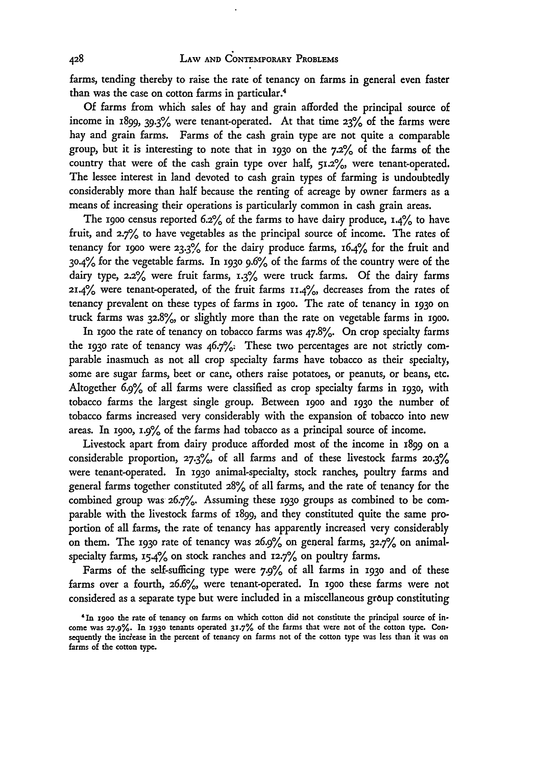farms, tending thereby to raise the rate of tenancy on farms in general even faster than was the case on cotton farms in particular.<sup>4</sup>

Of farms from which sales of hay and grain afforded the principal source of income in i899, **39.3%** were tenant-operated. At that time **23%** of the farms were hay and grain farms. Farms of the cash grain type are not quite a comparable group, but it is interesting to note that in 1930 on the  $7.2\%$  of the farms of the country that were of the cash grain type over half, 51.2%, were tenant-operated. The lessee interest in land devoted to cash grain types of farming is undoubtedly considerably more than half because the renting of acreage by owner farmers as a means of increasing their operations is particularly common in cash grain areas.

The I9OO census reported **6.2%** of the farms to have dairy produce, 1.4% to have fruit, and 2.7% to have vegetables as the principal source of income. The rates of tenancy for igoo were **23.3%** for the dairy produce farms, 164% for the fruit and 30.4%/ for the vegetable farms. In i93o 9.6%. of the farms of the country were of the dairy type, 2.2% were fruit farms, 1.3% were truck farms. Of the dairy farms 2i.4% were tenant-operated, of the fruit farms 11.4%, decreases from the rates of tenancy prevalent on these types of farms in i9oo. The rate of tenancy in **1930** on truck farms was 32.8%, or slightly more than the rate on vegetable farms in goo.

In 1900 the rate of tenancy on tobacco farms was 47.8%. On crop specialty farms the 1930 rate of tenancy was  $46.7\%$ . These two percentages are not strictly comparable inasmuch as not all crop specialty farms have tobacco as their specialty, some are sugar farms, beet or cane, others raise potatoes, or peanuts, or beans, etc. Altogether 6.9% of all farms were classified as crop specialty farms in x93o, with tobacco farms the largest single group. Between i9oo and 193o the number of tobacco farms increased very considerably with the expansion of tobacco into new areas. In **I9OO,** 1.9/ of the farms had tobacco as a principal source of income.

Livestock apart from dairy produce afforded most of the income in 1899 on a considerable proportion, 27.3%, of all farms and of these livestock farms **20.3%** were tenant-operated. In i93o animal-specialty, stock ranches, poultry farms and general farms together constituted 28% of all farms, and the rate of tenancy for the combined group was 26.7%. Assuming these 193o groups as combined to be comparable with the livestock farms of 1899, and they constituted quite the same proportion of all farms, the rate of tenancy has apparently increased very considerably on them. The I93O rate of tenancy was 26.9% on general farms, 32.7% on animalspecialty farms,  $15.4\%$  on stock ranches and  $12.7\%$  on poultry farms.

Farms of the self-sufficing type were 7.9% of all farms in 1930 and of these farms over a fourth, **26.6%,** were tenant-operated. In **i9oo** these farms were not considered as a separate type but were included in a miscellaneous group constituting

<sup>&#</sup>x27;In z9oo the rate of tenancy on farms on which cotton did not constitute the principal source of in**come** was **27.9%.** In 1930 tenants operated **31.7%** of the farms that were not of the cotton type. Consequently the inciase in the percent of tenancy on farms not of the cotton type was less than it was on farms of the cotton type.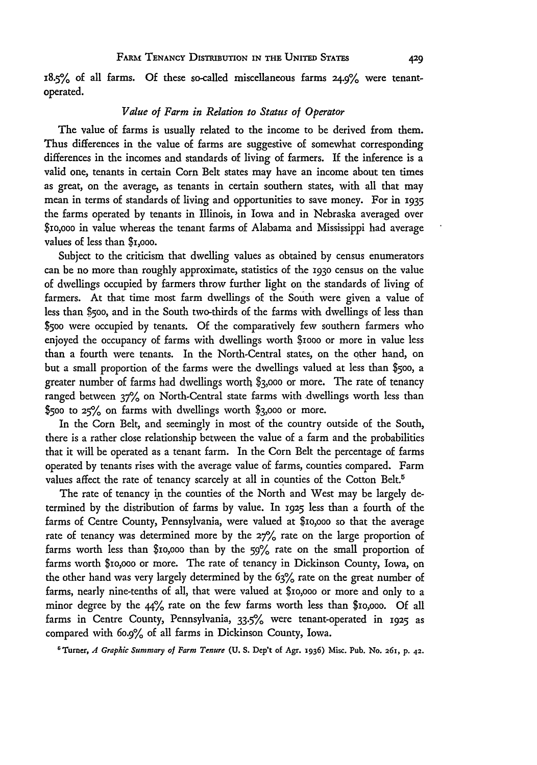**x8.50/** of all farms. Of these so-called miscellaneous farms **24.9%** were tenantoperated.

#### *Value of Farm in Relation to Status of Operator*

The value of farms is usually related to the income to be derived from them. Thus differences in the value of farms are suggestive of somewhat corresponding differences in the incomes and standards of living of farmers. If the inference is a valid one, tenants in certain Corn Belt states may have an income about ten times as great, on the average, as tenants in certain southern states, with all that may mean in terms of standards of living and opportunities to save money. For in **1935** the farms operated by tenants in Illinois, in Iowa and in Nebraska averaged over \$io,ooo in value whereas the tenant farms of Alabama and Mississippi had average values of less than \$i,ooo.

Subject to the criticism that dwelling values as obtained by census enumerators can be no more than roughly approximate, statistics of the **i93o** census on the value of dwellings occupied by farmers throw further light on the standards of living of farmers. At that time most farm dwellings of the South were given a value of less than \$500, and in the South two-thirds of the farms with dwellings of less than **\$500** were occupied by tenants. Of the comparatively few southern farmers who enjoyed the occupancy of farms with dwellings worth \$iooo or more in value less than a fourth were tenants. In the North-Central states, on the other hand, on but a small proportion of the farms were the dwellings valued at less than **\$500,** a greater number of farms had dwellings worth **\$3,000** or more. The rate of tenancy ranged between 37% on North-Central state farms with dwellings worth less than **\$500** to **250/0** on farms with dwellings worth **\$3,000** or more.

In the Corn Belt, and seemingly in most of the country outside of the South, there is a rather close relationship between the value of a farm and the probabilities that it will be operated as a tenant farm. In the Corn Belt the percentage of farms operated by tenants rises with the average value of farms, counties compared. Farm values affect the rate of tenancy scarcely at all in counties of the Cotton Belt.<sup>5</sup>

The rate of tenancy **in** the counties of the North and West may be largely determined by the distribution of farms by value. In x925 less than a fourth of the farms of Centre County, Pennsylvania, were valued at \$io,ooo so that the average rate of tenancy was determined more by the  $27\%$  rate on the large proportion of farms worth less than \$10,000 than by the 59% rate on the small proportion of farms worth \$10,000 or more. The rate of tenancy in Dickinson County, Iowa, on the other hand was very largely determined by the **63%** rate on the great number of farms, nearly nine-tenths of all, that were valued at \$10,000 or more and only to a minor degree by the 44% rate on the few farms worth less than \$io,ooo. Of all farms in Centre County, Pennsylvania, 33.5% were tenant-operated in 1925 as compared with 60.9% of all farms in Dickinson County, Iowa.

rTurner, *.4 Graphic Summary of Farm Tenure* **(U. S.** Dep't of Agr. **1936)** Misc. Pub. **No.** 261, **p. 42.**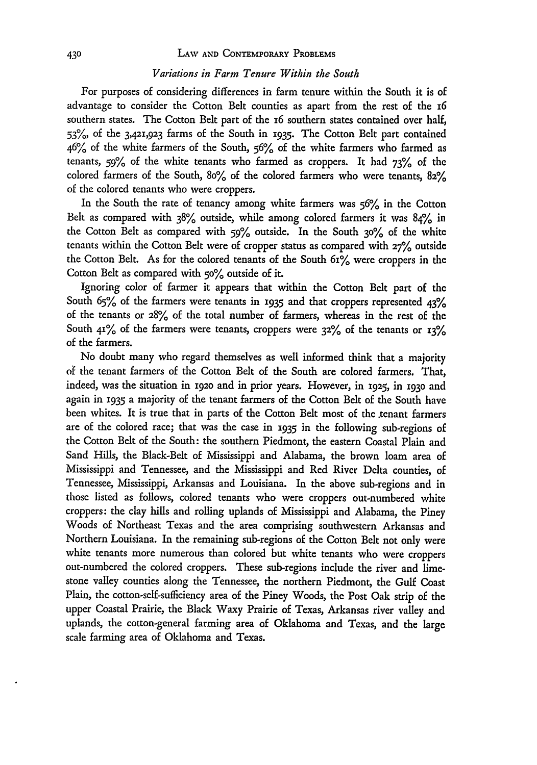#### *Variations in Farm Tenure Within the South*

For purposes of considering differences in farm tenure within the South it is of advantage to consider the Cotton Belt counties as apart from the rest of the i6 southern states. The Cotton Belt part of the 16 southern states contained over half, 53%, of the 3,421,923 farms of the South in 1935. The Cotton Belt part contained 460/o of the white farmers of the South, *56%* of the white farmers who farmed as tenants, 59% of the white tenants who farmed as croppers. It had 73% of the colored farmers of the South, 8o% of the colored farmers who were tenants, **82%** of the colored tenants who were croppers.

In the South the rate of tenancy among white farmers was 56% in the Cotton Belt as compared with 38% outside, while among colored farmers it was 84% *in* the Cotton Belt as compared with 59% outside. In the South 30% of the white tenants within the Cotton Belt were of cropper status as compared with 27% outside the Cotton Belt. As for the colored tenants of the South 61% were croppers in the Cotton Belt as compared with 5o% outside of it.

Ignoring color of farmer it appears that within the Cotton Belt part of the South 65% of the farmers were tenants in 1935 and that croppers represented 43% of the tenants or **280/** of the total number of farmers, whereas in the rest of the South **41%** of the farmers were tenants, croppers were **32%** of the tenants or *x3%* of the farmers.

No doubt many who regard themselves as well informed think that a majority of the tenant farmers of the Cotton Belt of the South are colored farmers. That, indeed, was the situation in **192o** and in prior years. However, in *x925,* in **193o** and again in 1935 a majority of the tenant farmers of the Cotton Belt of the South have been whites. It is true that in parts of the Cotton Belt most of the .tenant farmers are of the colored race; that was the case in 1935 in the following sub-regions of the Cotton Belt of the South: the southern Piedmont, the eastern Coastal Plain and Sand Hills, the Black-Belt of Mississippi and Alabama, the brown loam area of Mississippi and Tennessee, and the Mississippi and Red River Delta counties, of Tennessee, Mississippi, Arkansas and Louisiana. In the above sub-regions and in those listed as follows, colored tenants who were croppers out-numbered white croppers: the clay hills and rolling uplands of Mississippi and Alabama, the Piney Woods of Northeast Texas and the area comprising southwestern Arkansas and Northern Louisiana. In the remaining sub-regions of the Cotton Belt not only were white tenants more numerous than colored but white tenants who were croppers out-numbered the colored croppers. These sub-regions include the river and limestone valley counties along the Tennessee, the northern Piedmont, the Gulf Coast Plain, the cotton-self-sufficiency area of the Piney Woods, the Post Oak strip of the upper Coastal Prairie, the Black Waxy Prairie of Texas, Arkansas river valley and uplands, the cotton-general farming area of Oklahoma and Texas, and the large scale farming area of Oklahoma and Texas.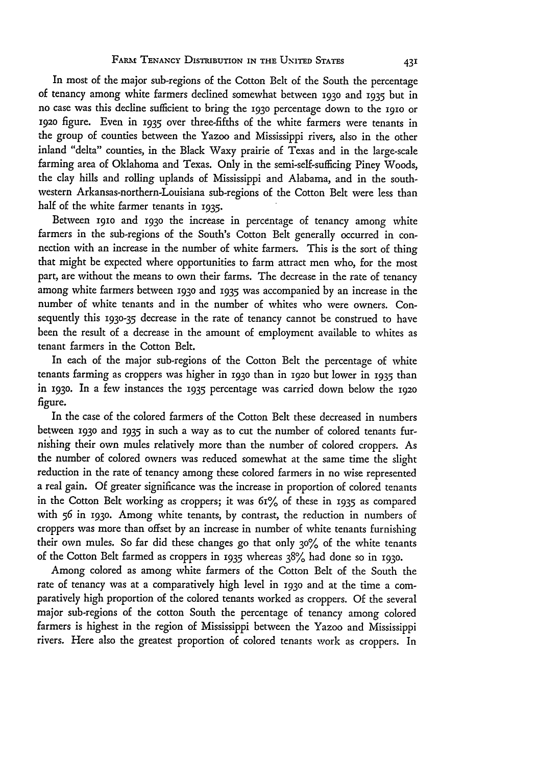In most of the major sub-regions of the Cotton Belt of the South the percentage of tenancy among white farmers declined somewhat between i93o and 1935 but in no case was this decline sufficient to bring the i93o percentage down to the i9io or i92o figure. Even in 1935 over three-fifths of the white farmers were tenants in the group of counties between the Yazoo and Mississippi rivers, also in the other inland "delta" counties, in the Black Waxy prairie of Texas and in the large-scale farming area of Oklahoma and Texas. Only in the semi-self-sufficing Piney Woods, the clay hills and rolling uplands of Mississippi and Alabama, and in the southwestern Arkansas-northern-Louisiana sub-regions of the Cotton Belt were less than half of the white farmer tenants in 1935.

Between 1910 and 1930 the increase in percentage of tenancy among white farmers in the sub-regions of the South's Cotton Belt generally occurred in connection with an increase in the number of white farmers. This is the sort of thing that might be expected where opportunities to farm attract men who, for the most part, are without the means to own their farms. The decrease in the rate of tenancy among white farmers between i93o and 1935 was accompanied by an increase in the number of white tenants and in the number of whites who were owners. Consequently this 1930-35 decrease in the rate of tenancy cannot be construed to have been the result of a decrease in the amount of employment available to whites as tenant farmers in the Cotton Belt.

In each of the major sub-regions of the Cotton Belt the percentage of white tenants farming as croppers was higher in 193o than in 192o but lower in 1935 than in i93o. In a few instances the **1935** percentage was carried down below the 1920 figure.

In the case of the colored farmers of the Cotton Belt these decreased in numbers between 193o and 1935 in such a way as to cut the number of colored tenants furnishing their own mules relatively more than the number of colored croppers. As the number of colored owners was reduced somewhat at the same time the slight reduction in the rate of tenancy among these colored farmers in no wise represented a real gain. Of greater significance was the increase in proportion of colored tenants in the Cotton Belt working as croppers; it was  $61\%$  of these in 1935 as compared with 56 in **i93o.** Among white tenants, by contrast, the reduction in numbers of croppers was more than offset by an increase in number of white tenants furnishing their own mules. So far did these changes go that only **30%** of the white tenants of the Cotton Belt farmed as croppers in 1935 whereas **38%** had done so in **193o.**

Among colored as among white farmers of the Cotton Belt of the South the rate of tenancy was at a comparatively high level in 193o and at the time a comparatively high proportion of the colored tenants worked as croppers. Of the several major sub-regions of the cotton South the percentage of tenancy among colored farmers is highest in the region of Mississippi between the Yazoo and Mississippi rivers. Here also the greatest proportion of colored tenants work as croppers. In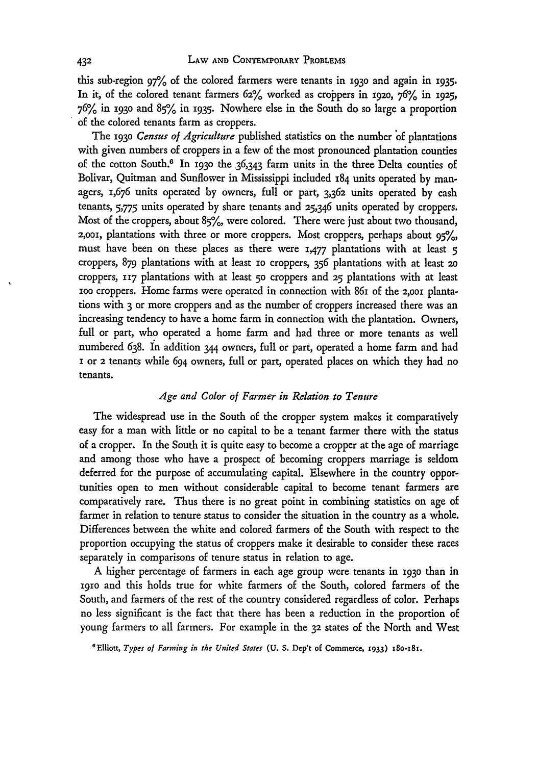this sub-region **97%** of the colored farmers were tenants in i93o and again in **i935.** In it, of the colored tenant farmers 62%. worked as croppers in **1920, 76/** in **1925, 76%** in i93o and **85%.** in **1935.** Nowhere else in the South do so large a proportion of the colored tenants farm as croppers.

The i93o *Census of Agriculture* published statistics on the number of plantations with given numbers of croppers in a few of the most pronounced plantation counties of the cotton South.<sup>6</sup> In 1930 the  $36,343$  farm units in the three Delta counties of Bolivar, Quitman and Sunflower in Mississippi included 184 units operated by managers, **1,676** units operated by owners, full or part, 3,362 units operated by cash tenants, **5,775** units operated by share tenants and 25,346 units operated by croppers. Most of the croppers, about 85%, were colored. There were just about two thousand, 2,001, plantations with three or more croppers. Most croppers, perhaps about  $95\%$ , must have been on these places as there were **1,477** plantations with at least **5** croppers, **879** plantations with at least io croppers, 356 plantations with at least **20** croppers, **117** plantations with at least **50** croppers and **25** plantations with at least ioo croppers. Home farms were operated in connection with **86I** of the **2,001** plantations with 3 or more croppers and as the number of croppers increased there was an increasing tendency to have a home farm in connection with the plantation. Owners, full or part, who operated a home farm and had three or more tenants as well numbered 638. In addition 344 owners, full or part, operated a home farm and had **i** or 2 tenants while 694 owners, full or part, operated places on which they had no tenants.

### *Age and Color of Farmer in Relation to Tenure*

The widespread use in the South of the cropper system makes it comparatively easy for a man with little or no capital to be a tenant farmer there with the status of a cropper. In the South it is quite easy to become a cropper at the age of marriage and among those who have a prospect of becoming croppers marriage is seldom deferred for the purpose of accumulating capital. Elsewhere in the country opportunities open to men without considerable capital to become tenant farmers are comparatively rare. Thus there is no great point in combining statistics on age of farmer in relation to tenure status to consider the situation in the country as a whole. Differences between the white and colored farmers of the South with respect to the proportion occupying the status of croppers make it desirable to consider these races separately in comparisons of tenure status in relation to age.

A higher percentage of farmers in each age group were tenants in **1930** than in **x91o** and this holds true for white farmers of the South, colored farmers of the South, and farmers of the rest of the country considered regardless of color. Perhaps no less significant is the fact that there has been a reduction in the proportion of young farmers to all farmers. For example in the **32** states of the North and West

<sup>&</sup>lt;sup>6</sup> Elliott, *Types of Farming in the United States* (U. S. Dep't of Commerce, 1933) 180-181.